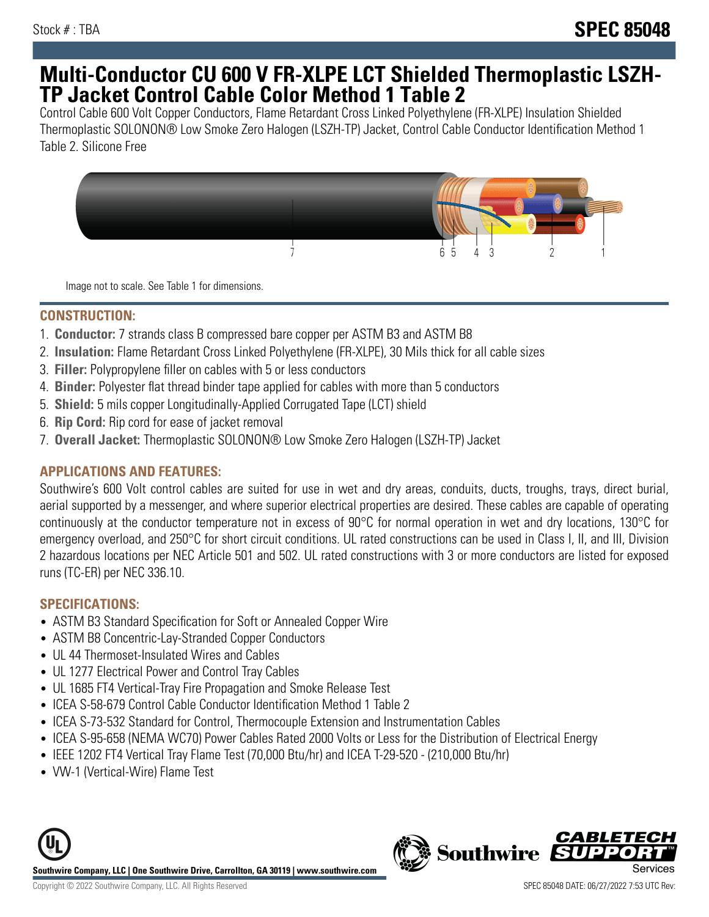# **Multi-Conductor CU 600 V FR-XLPE LCT Shielded Thermoplastic LSZH-TP Jacket Control Cable Color Method 1 Table 2**

Control Cable 600 Volt Copper Conductors, Flame Retardant Cross Linked Polyethylene (FR-XLPE) Insulation Shielded Thermoplastic SOLONON® Low Smoke Zero Halogen (LSZH-TP) Jacket, Control Cable Conductor Identification Method 1 Table 2. Silicone Free



Image not to scale. See Table 1 for dimensions.

## **CONSTRUCTION:**

- 1. **Conductor:** 7 strands class B compressed bare copper per ASTM B3 and ASTM B8
- 2. **Insulation:** Flame Retardant Cross Linked Polyethylene (FR-XLPE), 30 Mils thick for all cable sizes
- 3. **Filler:** Polypropylene filler on cables with 5 or less conductors
- 4. **Binder:** Polyester flat thread binder tape applied for cables with more than 5 conductors
- 5. **Shield:** 5 mils copper Longitudinally-Applied Corrugated Tape (LCT) shield
- 6. **Rip Cord:** Rip cord for ease of jacket removal
- 7. **Overall Jacket:** Thermoplastic SOLONON® Low Smoke Zero Halogen (LSZH-TP) Jacket

# **APPLICATIONS AND FEATURES:**

Southwire's 600 Volt control cables are suited for use in wet and dry areas, conduits, ducts, troughs, trays, direct burial, aerial supported by a messenger, and where superior electrical properties are desired. These cables are capable of operating continuously at the conductor temperature not in excess of 90°C for normal operation in wet and dry locations, 130°C for emergency overload, and 250°C for short circuit conditions. UL rated constructions can be used in Class I, II, and III, Division 2 hazardous locations per NEC Article 501 and 502. UL rated constructions with 3 or more conductors are listed for exposed runs (TC-ER) per NEC 336.10.

# **SPECIFICATIONS:**

- ASTM B3 Standard Specification for Soft or Annealed Copper Wire
- ASTM B8 Concentric-Lay-Stranded Copper Conductors
- UL 44 Thermoset-Insulated Wires and Cables
- UL 1277 Electrical Power and Control Tray Cables
- UL 1685 FT4 Vertical-Tray Fire Propagation and Smoke Release Test
- ICEA S-58-679 Control Cable Conductor Identification Method 1 Table 2
- ICEA S-73-532 Standard for Control, Thermocouple Extension and Instrumentation Cables
- ICEA S-95-658 (NEMA WC70) Power Cables Rated 2000 Volts or Less for the Distribution of Electrical Energy
- IEEE 1202 FT4 Vertical Tray Flame Test (70,000 Btu/hr) and ICEA T-29-520 (210,000 Btu/hr)
- VW-1 (Vertical-Wire) Flame Test



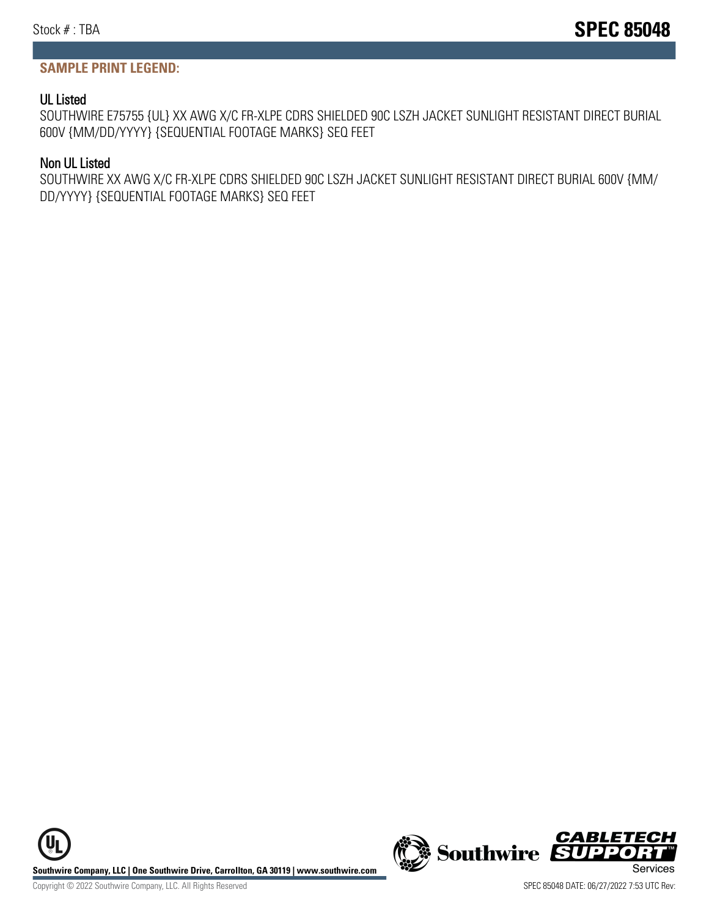### **SAMPLE PRINT LEGEND:**

#### UL Listed

SOUTHWIRE E75755 {UL} XX AWG X/C FR-XLPE CDRS SHIELDED 90C LSZH JACKET SUNLIGHT RESISTANT DIRECT BURIAL 600V {MM/DD/YYYY} {SEQUENTIAL FOOTAGE MARKS} SEQ FEET

#### Non UL Listed

SOUTHWIRE XX AWG X/C FR-XLPE CDRS SHIELDED 90C LSZH JACKET SUNLIGHT RESISTANT DIRECT BURIAL 600V {MM/ DD/YYYY} {SEQUENTIAL FOOTAGE MARKS} SEQ FEET